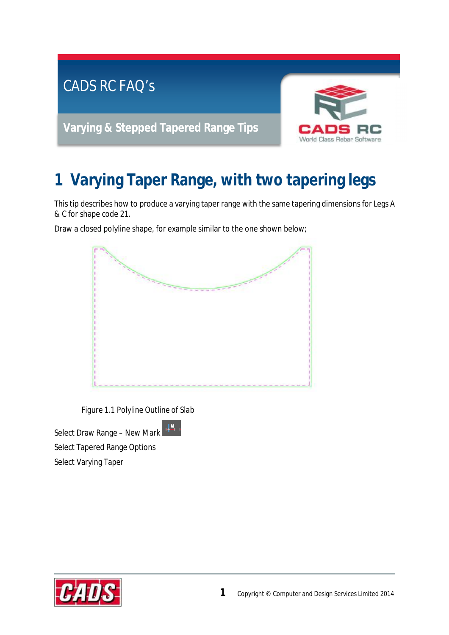

## **1 Varying Taper Range, with two tapering legs**

This tip describes how to produce a varying taper range with the same tapering dimensions for Legs A & C for shape code 21.

Draw a closed polyline shape, for example similar to the one shown below;



*Figure 1.1 Polyline Outline of Slab* 

理。

Select Draw Range – New Mark Select Tapered Range Options Select Varying Taper

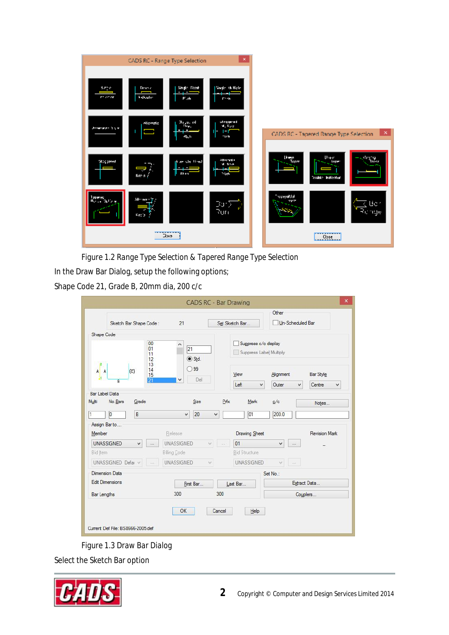

*Figure 1.2 Range Type Selection & Tapered Range Type Selection* 

In the Draw Bar Dialog, setup the following options;

Shape Code 21, Grade B, 20mm dia, 200 c/c

|                                |                        |                      |                     |          |                  | <b>CADS RC - Bar Drawing</b>                    |           |                  | $\mathsf{x}$  |
|--------------------------------|------------------------|----------------------|---------------------|----------|------------------|-------------------------------------------------|-----------|------------------|---------------|
|                                | Sketch Bar Shape Code: |                      | 21                  |          |                  | Set Sketch Bar                                  | Other     | Un-Scheduled Bar |               |
| Shape Code                     |                        |                      |                     |          |                  |                                                 |           |                  |               |
|                                |                        | 00<br>01<br>11<br>12 | ۸<br>21<br>Std.     |          |                  | Suppress c/c display<br>Suppress Label Multiply |           |                  |               |
| $\vert 2 \vert$<br>A A         | $\langle C \rangle$    | 13<br>14<br>15<br>21 | 99<br>- 1<br>Del    |          |                  | View                                            | Alignment |                  | Bar Style     |
|                                | $\overline{B}$         |                      |                     |          |                  | Left<br>$\checkmark$                            | Outer     | $\checkmark$     | Centre<br>v   |
| <b>Bar Label Data</b><br>Multi | No.Bars<br>Grade       |                      | Size                |          | Prfx             | Mark                                            | c/c       |                  | Notes         |
| O<br>1                         | $\mathsf B$            |                      | 20<br>v             | v        |                  | 01                                              | 200.0     |                  |               |
| Assign Barto<br>Member         |                        |                      | Release             |          |                  | Drawing Sheet                                   |           |                  | Revision Mark |
| <b>UNASSIGNED</b>              | v                      | $\cdots$             | <b>UNASSIGNED</b>   |          | $\omega_{\rm e}$ | 01                                              | v         |                  |               |
| Bid Item                       |                        |                      | <b>Billing Code</b> |          |                  | <b>Bid Structure</b>                            |           |                  |               |
|                                | UNASSIGNED Defai v     | $\Delta\Delta\phi$   | <b>UNASSIGNED</b>   | $\omega$ |                  | <b>UNASSIGNED</b>                               | V.        | $\ldots$         |               |
| Dimension Data                 |                        |                      |                     |          |                  |                                                 | Set No.:  |                  |               |
| <b>Edit Dimensions</b>         |                        |                      | First Bar           |          |                  | Last Bar                                        |           | Extract Data     |               |
| <b>Bar Lengths</b>             |                        |                      | 300                 |          | 300              |                                                 |           | Couplers         |               |

*Figure 1.3 Draw Bar Dialog* 

Select the Sketch Bar option

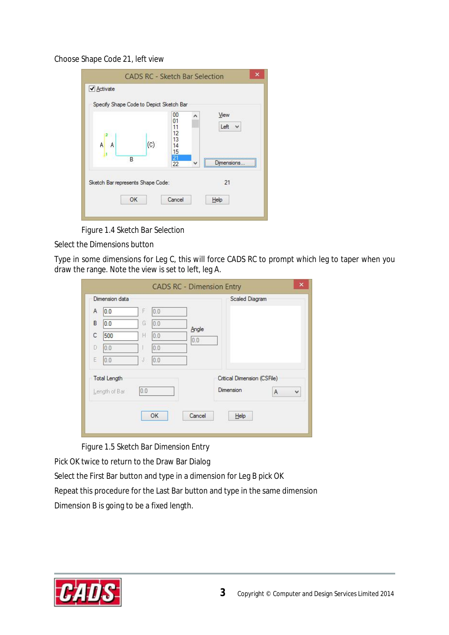## Choose Shape Code 21, left view

| Specify Shape Code to Depict Sketch Bar |                        | 00<br>01                   | ٨ | View      |
|-----------------------------------------|------------------------|----------------------------|---|-----------|
| A<br>А                                  | $\left( \circ \right)$ | 11<br>12<br>13<br>14<br>15 |   | Left<br>٧ |
|                                         | B                      | $\frac{21}{22}$            | v |           |
| Sketch Bar represents Shape Code:       |                        |                            |   | 21        |

*Figure 1.4 Sketch Bar Selection* 

Select the Dimensions button

Type in some dimensions for Leg C, this will force CADS RC to prompt which leg to taper when you draw the range. Note the view is set to left, leg A.

|   | Dimension data      |     |     |        | Scaled Diagram              |   |   |
|---|---------------------|-----|-----|--------|-----------------------------|---|---|
| A | 0.0                 | F   | 0.0 |        |                             |   |   |
| B | 0.0                 | G.  | 0.0 | Angle  |                             |   |   |
| C | 500                 | Н   | 0.0 | 0.0    |                             |   |   |
| D | 0,0                 |     | 0.0 |        |                             |   |   |
| Ë | 0.0                 | J   | 0.0 |        |                             |   |   |
|   | <b>Total Length</b> |     |     |        | Critical Dimension (CSFile) |   |   |
|   | Length of Bar       | 0.0 |     |        | <b>Dimension</b>            | A | Ÿ |
|   |                     |     |     |        |                             |   |   |
|   |                     |     | OK  | Cancel | Help                        |   |   |

*Figure 1.5 Sketch Bar Dimension Entry* 

Pick OK twice to return to the Draw Bar Dialog

Select the First Bar button and type in a dimension for Leg B pick OK

Repeat this procedure for the Last Bar button and type in the same dimension Dimension B is going to be a fixed length.

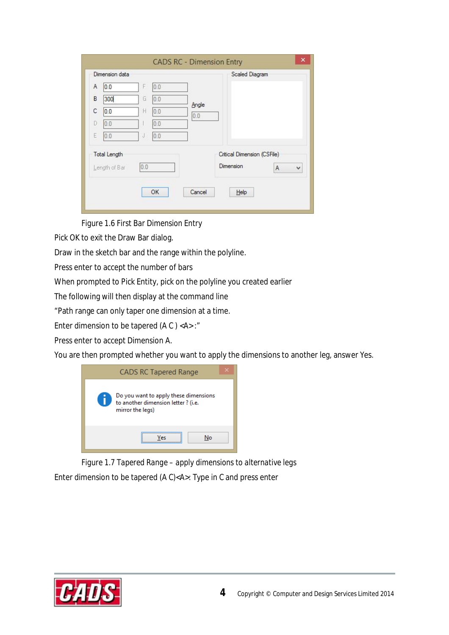|   | Dimension data                       |     |     |        | <b>Scaled Diagram</b>                    |        |
|---|--------------------------------------|-----|-----|--------|------------------------------------------|--------|
| A | 0.0                                  | F   | 0.0 |        |                                          |        |
| B | 300                                  | G   | 0.0 | Angle  |                                          |        |
| C | 0.0                                  | H   | 0.0 | 0.0    |                                          |        |
| D | 0.0                                  |     | 0.0 |        |                                          |        |
| E | 0.0                                  | J   | 0.0 |        |                                          |        |
|   | <b>Total Length</b><br>Length of Bar | 0.0 |     |        | Critical Dimension (CSFile)<br>Dimension | v<br>A |
|   |                                      |     | OK  | Cancel | Help                                     |        |

*Figure 1.6 First Bar Dimension Entry* 

Pick OK to exit the Draw Bar dialog.

Draw in the sketch bar and the range within the polyline.

Press enter to accept the number of bars

When prompted to Pick Entity, pick on the polyline you created earlier

The following will then display at the command line

"Path range can only taper one dimension at a time.

Enter dimension to be tapered (A C ) <A> :"

Press enter to accept Dimension A.

You are then prompted whether you want to apply the dimensions to another leg, answer Yes.



*Figure 1.7 Tapered Range – apply dimensions to alternative legs*  Enter dimension to be tapered (A C)<A>: Type in C and press enter

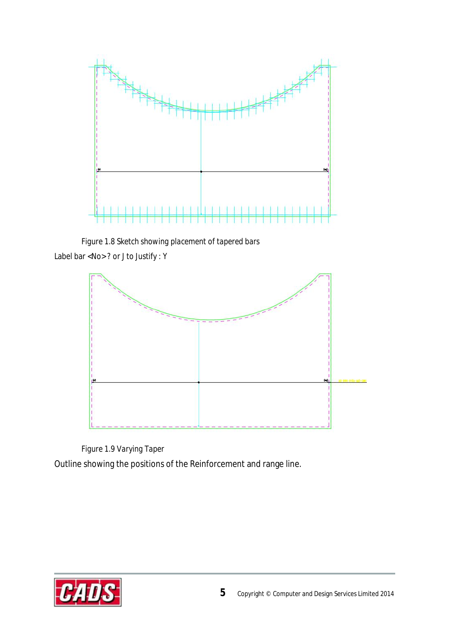

*Figure 1.8 Sketch showing placement of tapered bars* 

Label bar <No> ? or J to Justify : Y



*Figure 1.9 Varying Taper*  Outline showing the positions of the Reinforcement and range line.

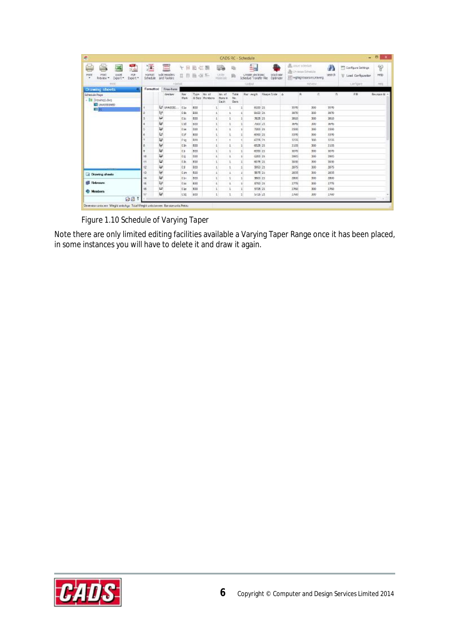| 霮<br>بمسا<br>$\frac{1}{2}$                                                                  | 澐                          | ≣                          | $\overline{1}$<br>ν. | 出石器        |                                         | والد                            |                       | È.                                         |                              | <b>B</b> unterclotte | By Unique Schuttle      | Λ      | <sup>177</sup> Configure Settings | P                  |
|---------------------------------------------------------------------------------------------|----------------------------|----------------------------|----------------------|------------|-----------------------------------------|---------------------------------|-----------------------|--------------------------------------------|------------------------------|----------------------|-------------------------|--------|-----------------------------------|--------------------|
| <b>HYRK</b><br>Print<br><b>HUH</b><br><b>Ł005</b><br>٠<br>Export *<br>Export *<br>Freview * | <b>Formet</b><br>Schedule: | Edit Headen<br>and Footens | o                    | 政          | 温料                                      | <b>USB</b><br><b>Plate lets</b> | 蓟                     | create sections:<br>Schedule Transfer File | <b>NOCK BBF</b><br>Ostinizer |                      | 三 HgNightBarsinLikywing | beards | U Load Configuration              | melo               |
| <b>VEWAT</b>                                                                                |                            | <b>Horisti</b>             |                      |            |                                         |                                 |                       | <b>CODU</b>                                |                              |                      | <b>Highlight</b>        |        | sampine                           | <b>ABSC</b>        |
| ×<br>Drawing sheets                                                                         | Farmatton                  | <b>Free-Form</b>           |                      |            |                                         |                                 |                       |                                            |                              |                      |                         |        |                                   |                    |
| Schedule Page:<br>- III Drawings.dwg                                                        |                            | <b>Gentler</b>             | Rw<br>Mark           |            | Type Ho at<br><b>&amp; Size</b> Members | No of<br>Bors in<br>Cach        | Tutal<br>Ne.<br>Dars. |                                            | Bar wegh Stage Drite A       | R.                   | 倉                       | m.     | FR                                | <b>Devices M</b> + |
| <b>ET</b> UNASSIGNED<br><b>CE DE L</b><br><u> Karl Maria (K. 1989)</u>                      |                            | LF unwesto.                | 520                  | 830        |                                         |                                 |                       |                                            | 8153 21                      | 2070                 | 300                     | 2070   |                                   |                    |
|                                                                                             |                            | 관                          | Cibi                 | 233        |                                         | $\mathbf{1}$                    | $\mathbf 1$           |                                            | 915321                       | 3970                 | 300                     | 3970   |                                   |                    |
|                                                                                             |                            | u                          | <b>C</b> ac          | 533        |                                         | $\mathbf{1}$                    | 1                     |                                            | 7625 21                      | 3510                 | 300                     | 3810   |                                   |                    |
|                                                                                             |                            | $\overline{\mathbf{u}}$    | L3d                  | <b>B33</b> |                                         | T.                              | $\mathbf{1}$          |                                            | 7500.21                      | $y_2 + y_3$          | 500                     | 所令     |                                   |                    |
|                                                                                             |                            | یع                         | <b>Cás</b>           | DOG        |                                         | ÷.                              | ٠.                    |                                            | 7203 21                      | 1500                 | 300                     | 1500   |                                   |                    |
|                                                                                             |                            | υ                          | C2F                  | 830        |                                         | ı                               | $\mathbf{1}$          |                                            | 4953 21                      | 3370                 | 500                     | 3370   |                                   |                    |
|                                                                                             |                            | $\overline{u}$             | I'm                  | RM         |                                         | ,                               | $\mathbf{1}$          |                                            | 6726121                      | 1255                 | 30h                     | 1255   |                                   |                    |
|                                                                                             |                            | U                          | <b>City</b>          | 533        |                                         | 41                              | 4                     |                                            | 6525 21                      | 3155                 | 300                     | 3155   |                                   |                    |
|                                                                                             |                            | u                          | <b>C3</b>            | B33        |                                         | T.                              | $\mathbbm{1}$         |                                            | 6330 21                      | 3070                 | 500                     | 3070   |                                   |                    |
|                                                                                             |                            | ¥                          | 文封                   | DOG        |                                         | ÷.                              | ٠.                    |                                            | 6200 21                      | 3995                 | 300                     | 3995   |                                   |                    |
|                                                                                             |                            | υ                          | <b>CSK</b>           | 833        |                                         | $\mathbf{1}$                    | $\mathbf{1}$          |                                            | 6075 21                      | 7950                 | 300                     | 3950   |                                   |                    |
| <b>Williams</b>                                                                             | 12                         | $\overline{u}$             | $\mathfrak{c}_3$     | B30        |                                         | t.                              | $\mathbf{1}$          |                                            | 9960 21                      | 3975                 | 300                     | 3875   |                                   |                    |
| <b>LE Drawing sheets</b>                                                                    | 13                         | 끋                          | Days:                | B30        |                                         | $\mathbb{E}$                    | £.                    |                                            | 9575 21                      | 3855                 | 300                     | 38.55  |                                   |                    |
| <b>S Refronze</b>                                                                           | 14                         | u                          | Chi                  | B33        |                                         | T.                              | $\mathbf{I}$          |                                            | 9500 21                      | 2800                 | 300                     | 2800   |                                   |                    |
|                                                                                             | 让                          | 관                          | C So                 | pag        |                                         | Œ.                              | ÷.                    |                                            | \$763 24                     | 1776                 | 300                     | 3776   |                                   |                    |
| <b><i><b>B</b></i></b> Members                                                              | 16                         | u<br>u                     | Clo                  | 830        |                                         | $\mathbf{L}$                    | $\mathbf{1}$          |                                            | 5725 21                      | 1750                 | 300                     | 3760   |                                   |                    |
| 前隔于                                                                                         |                            |                            | 131                  | 633        |                                         | t.                              |                       |                                            | 5/25/21                      | 2760                 | 300                     | 2760   |                                   |                    |

*Figure 1.10 Schedule of Varying Taper* 

Note there are only limited editing facilities available a Varying Taper Range once it has been placed, in some instances you will have to delete it and draw it again.

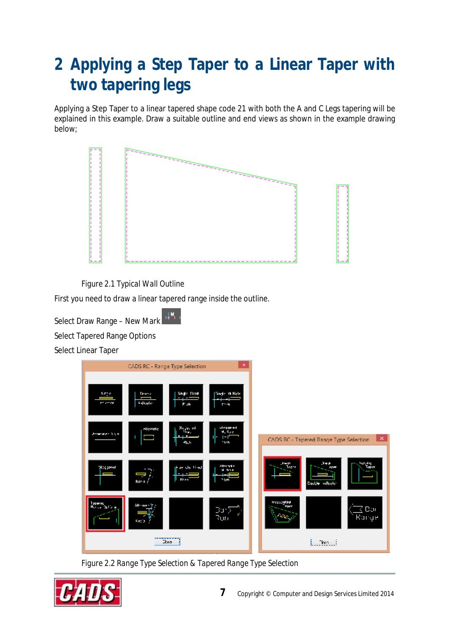## **2 Applying a Step Taper to a Linear Taper with two tapering legs**

Applying a Step Taper to a linear tapered shape code 21 with both the A and C Legs tapering will be explained in this example. Draw a suitable outline and end views as shown in the example drawing below;



*Figure 2.1 Typical Wall Outline* 

First you need to draw a linear tapered range inside the outline.

Select Draw Range – New Mark

Select Tapered Range Options

Select Linear Taper



*Figure 2.2 Range Type Selection & Tapered Range Type Selection* 

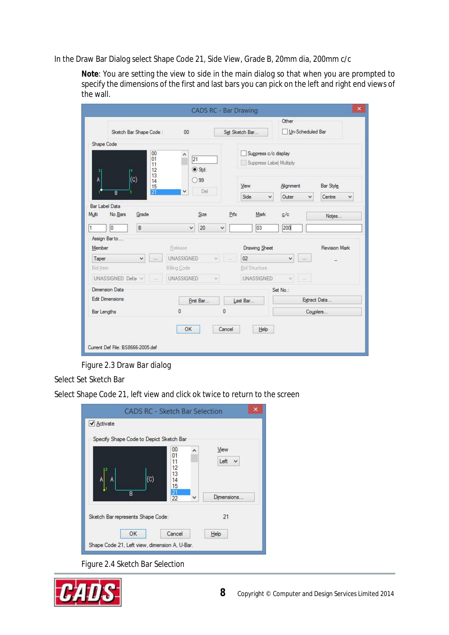In the Draw Bar Dialog select Shape Code 21, Side View, Grade B, 20mm dia, 200mm c/c

**Note**: You are setting the view to side in the main dialog so that when you are prompted to specify the dimensions of the first and last bars you can pick on the left and right end views of the wall.

|                                                    |                      |                     | <b>CADS RC - Bar Drawing</b> |                                                 |                                          | $\pmb{\times}$       |
|----------------------------------------------------|----------------------|---------------------|------------------------------|-------------------------------------------------|------------------------------------------|----------------------|
| Sketch Bar Shape Code:                             |                      | 00                  |                              | Set Sketch Bar                                  | Other                                    | Un-Scheduled Bar     |
| Shape Code                                         |                      |                     |                              |                                                 |                                          |                      |
| $\mathbf{2}$                                       | 00<br>01<br>11<br>12 | ۸<br> 21<br>Std.    |                              | Suppress c/c display<br>Suppress Label Multiply |                                          |                      |
| (c)<br>A<br>3                                      | 13<br>14<br>15       | 99<br>Del           |                              | View                                            | Alignment                                | Bar Style            |
| $\overline{B}$                                     | 21                   |                     |                              | Side<br>v                                       | Outer.                                   | Centre<br>v<br>v     |
| <b>Bar Label Data</b><br>Multi<br>No.Bars<br>Grade |                      | Size                | Prfx                         | Mark                                            | c/c                                      | Notes                |
| 1<br> 0 <br>B                                      |                      | 20<br>$\checkmark$  | v                            | 03                                              | 200                                      |                      |
| Assign Barto<br>Member                             |                      | Release             |                              | Drawing Sheet                                   |                                          | <b>Revision Mark</b> |
| Taper<br>v                                         | $\cdots$             | <b>UNASSIGNED</b>   | $\omega_{\rm e}$             | 02                                              | v<br>$\dddotsc$                          |                      |
| Bid Item                                           |                      | <b>Billing Code</b> |                              | <b>Bid Structure</b>                            |                                          |                      |
| UNASSIGNED Defai v                                 | $\Delta\Delta\phi$   | UNASSIGNED          | v.                           | <b>UNASSIGNED</b>                               | $\mathcal{G}_{\mathcal{E}}$<br>$\sim 10$ |                      |
| Dimension Data                                     |                      |                     |                              |                                                 | Set No.:                                 |                      |
| <b>Edit Dimensions</b>                             |                      | First Bar           |                              | Last Bar                                        |                                          | Extract Data         |
| <b>Bar Lengths</b>                                 |                      | 0                   | 0                            |                                                 |                                          | Couplers             |
| Current Def File: BS8666-2005.def                  |                      | OK                  | Cancel                       | Help                                            |                                          |                      |

*Figure 2.3 Draw Bar dialog* 

Select Set Sketch Bar

Select Shape Code 21, left view and click ok twice to return to the screen

| <b>CADS RC - Sketch Bar Selection</b><br>✔ Activate<br>Specify Shape Code to Depict Sketch Bar |                                        |              | $\times$     |
|------------------------------------------------------------------------------------------------|----------------------------------------|--------------|--------------|
| $\circ$<br>A                                                                                   | 00<br>01<br>11<br>12<br>13<br>14<br>15 | ۸            | View<br>Left |
| B                                                                                              | 21<br>$\overline{22}$                  | $\checkmark$ | Dimensions   |
| Sketch Bar represents Shape Code:                                                              |                                        |              | 21           |
| OK<br>Shape Code 21, Left view, dimension A, U-Bar.                                            | Cancel                                 |              | Help         |

*Figure 2.4 Sketch Bar Selection* 

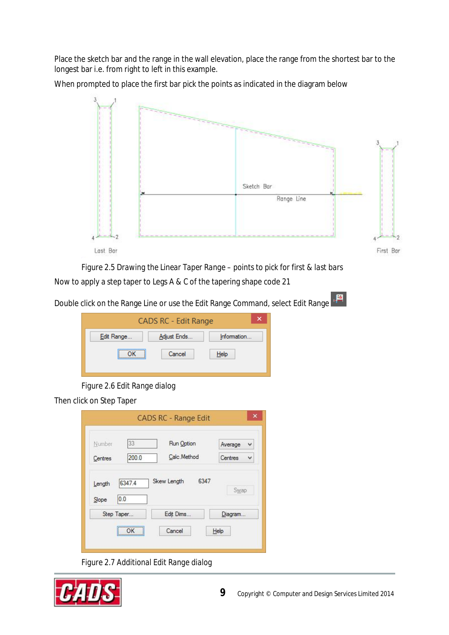Place the sketch bar and the range in the wall elevation, place the range from the shortest bar to the longest bar i.e. from right to left in this example.

When prompted to place the first bar pick the points as indicated in the diagram below



*Figure 2.5 Drawing the Linear Taper Range – points to pick for first & last bars*  Now to apply a step taper to Legs A & C of the tapering shape code 21

Double click on the Range Line or use the Edit Range Command, select Edit Range



*Figure 2.6 Edit Range dialog* 

Then click on Step Taper

| Number  | 33         | Run Option  | Average<br>v |
|---------|------------|-------------|--------------|
| Centres | 200.0      | Calc.Method | Centres<br>v |
| Slope   | Step Taper | Edit Dims   | Diagram      |

*Figure 2.7 Additional Edit Range dialog* 

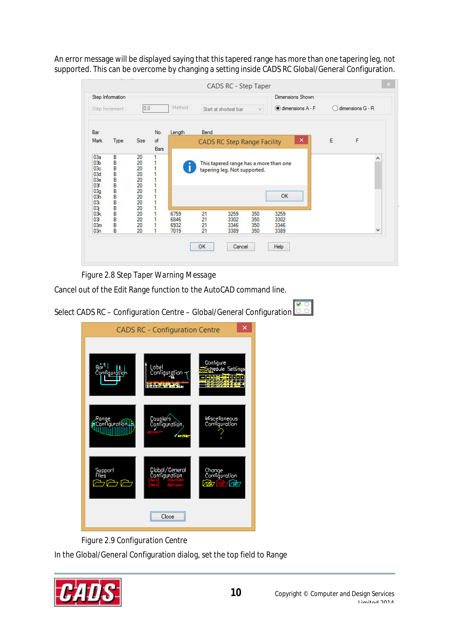An error message will be displayed saying that this tapered range has more than one tapering leg, not supported. This can be overcome by changing a setting inside CADS RC Global/General Configuration.

|                                                                                | Step Information |                                                                 |                                                              |                              |                      |                                                                        |                          | Dimensions Shown             |   |                  |
|--------------------------------------------------------------------------------|------------------|-----------------------------------------------------------------|--------------------------------------------------------------|------------------------------|----------------------|------------------------------------------------------------------------|--------------------------|------------------------------|---|------------------|
|                                                                                | Step Increment : | 0.0                                                             |                                                              | Method:                      |                      | Start at shortest bar                                                  | $\dot{\mathcal{Q}}$      | dimensions A - F             |   | dimensions G - R |
| Bar                                                                            |                  |                                                                 | No.                                                          | Length                       | Bend                 |                                                                        |                          |                              |   |                  |
| Mark                                                                           | Type             | Size                                                            | of<br>Bars                                                   |                              |                      | <b>CADS RC Step Range Facility</b>                                     |                          | $\pmb{\times}$               | E | F                |
| 03a<br>03 <sub>b</sub><br>03c<br>03d<br>03e<br>03f<br>03g<br>03h<br>03i<br>03j | В<br>B           | 20<br>20<br>20<br>$\frac{20}{20}$<br>20<br>20<br>20<br>20<br>20 | $\overline{1}$<br>1<br>$\overline{1}$<br>$\overline{1}$<br>1 |                              |                      | This tapered range has a more than one<br>tapering leg. Not supported. |                          | OK                           |   | Α                |
| 03k<br>03<br>03m<br>03n                                                        | B<br>B<br>B      | 20<br>20<br>20<br>20                                            | 1                                                            | 6759<br>6846<br>6932<br>7019 | 21<br>21<br>21<br>21 | 3259<br>3302<br>3346<br>3389                                           | 350<br>350<br>350<br>350 | 3259<br>3302<br>3346<br>3389 |   | v                |

*Figure 2.8 Step Taper Warning Message* 

Cancel out of the Edit Range function to the AutoCAD command line.



*Figure 2.9 Configuration Centre* 

In the Global/General Configuration dialog, set the top field to Range

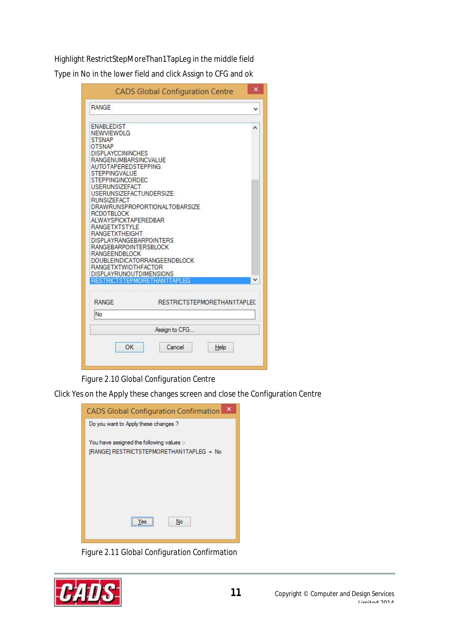Highlight RestrictStepMoreThan1TapLeg in the middle field

Type in No in the lower field and click Assign to CFG and ok

| <b>CADS Global Configuration Centre</b>                                                                                                                                                                                                                                                                                                                                                                                                                                                                                                                                                                                    | × |
|----------------------------------------------------------------------------------------------------------------------------------------------------------------------------------------------------------------------------------------------------------------------------------------------------------------------------------------------------------------------------------------------------------------------------------------------------------------------------------------------------------------------------------------------------------------------------------------------------------------------------|---|
| <b>RANGE</b>                                                                                                                                                                                                                                                                                                                                                                                                                                                                                                                                                                                                               | v |
| <b>ENABLEDIST</b><br>NEWVIEWDLG<br><b>STSNAP</b><br><b>OTSNAP</b><br><b>DISPLAYCCININCHES</b><br>RANGENUMBARSINCVALUE<br>AUTOTAPEREDSTEPPING<br><b>STEPPINGVALUE</b><br>STEPPINGINCORDEC<br><b>USERUNSIZEFACT</b><br><b>USERUNSIZEFACTUNDERSIZE</b><br><b>RUNSIZEFACT</b><br>DRAWRUNSPROPORTIONALTOBARSIZE<br>RCDOTBLOCK<br><b>ALWAYSPICKTAPEREDBAR</b><br><b>RANGETXTSTYLE</b><br>RANGETXTHEIGHT<br><b>DISPLAYRANGEBARPOINTERS</b><br><b>RANGEBARPOINTERSBLOCK</b><br><b>RANGEENDBLOCK</b><br><b>DOUBLEINDICATORRANGEENDBLOCK</b><br><b>RANGETXTWIDTHFACTOR</b><br>DISPLAYRUNOUTDIMENSIONS<br>RESTRICTSTEPMORETHAN1TAPLEG | ۸ |
| <b>RANGE</b><br>RESTRICTSTEPMORETHAN1TAPLEC                                                                                                                                                                                                                                                                                                                                                                                                                                                                                                                                                                                |   |
| No                                                                                                                                                                                                                                                                                                                                                                                                                                                                                                                                                                                                                         |   |
| Assign to CFG                                                                                                                                                                                                                                                                                                                                                                                                                                                                                                                                                                                                              |   |
| ОК<br>Cancel<br>Help                                                                                                                                                                                                                                                                                                                                                                                                                                                                                                                                                                                                       |   |

## *Figure 2.10 Global Configuration Centre*

Click Yes on the Apply these changes screen and close the Configuration Centre

| <b>CADS Global Configuration Confirmation</b>                                         |
|---------------------------------------------------------------------------------------|
| Do you want to Apply these changes?                                                   |
| You have assigned the following values :-<br>[RANGE] RESTRICTSTEPMORETHAN1TAPLEG = No |
|                                                                                       |
|                                                                                       |
| No                                                                                    |

*Figure 2.11 Global Configuration Confirmation*